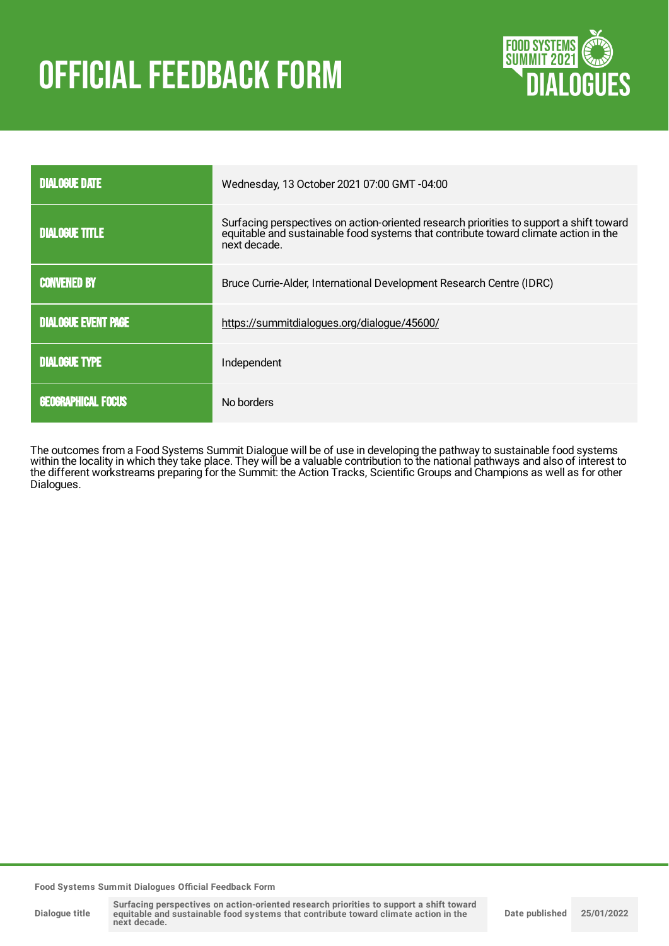# **OFFICIAL FEEDBACK FORM**



| <b>DIALOGUE DATE</b>       | Wednesday, 13 October 2021 07:00 GMT -04:00                                                                                                                                                    |
|----------------------------|------------------------------------------------------------------------------------------------------------------------------------------------------------------------------------------------|
| <b>DIALOGUE TITLE</b>      | Surfacing perspectives on action-oriented research priorities to support a shift toward<br>equitable and sustainable food systems that contribute toward climate action in the<br>next decade. |
| <b>CONVENED BY</b>         | Bruce Currie-Alder, International Development Research Centre (IDRC)                                                                                                                           |
| <b>DIALOGUE EVENT PAGE</b> | https://summitdialogues.org/dialogue/45600/                                                                                                                                                    |
| <b>DIALOGUE TYPE</b>       | Independent                                                                                                                                                                                    |
| <b>GEOGRAPHICAL FOCUS</b>  | No borders                                                                                                                                                                                     |

The outcomes from a Food Systems Summit Dialogue will be of use in developing the pathway to sustainable food systems within the locality in which they take place. They will be a valuable contribution to the national pathways and also of interest to the different workstreams preparing for the Summit: the Action Tracks, Scientific Groups and Champions as well as for other Dialogues.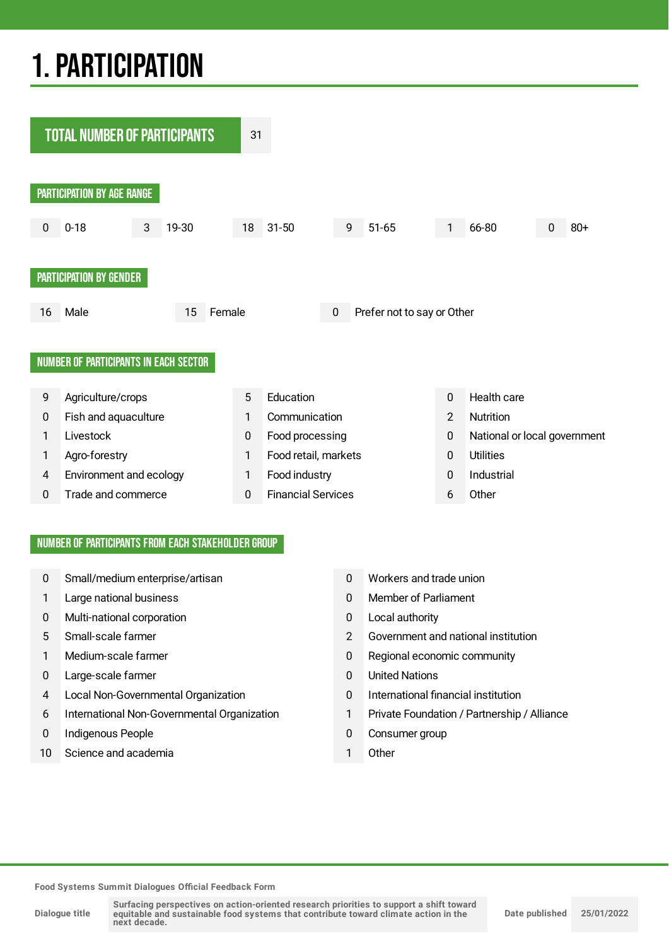## 1.PARTICIPATION



#### NUMBER OF PARTICIPANTS FROM EACH STAKEHOLDER GROUP

- 0 Small/medium enterprise/artisan 0 Workers and trade union
- 
- 0 Multi-national corporation 0 Local authority
- 
- 
- 0 Large-scale farmer 0 United Nations
- 4 Local Non-Governmental Organization 0 International financial institution
- 6 International Non-Governmental Organization 1 Private Foundation / Partnership / Alliance
- 0 Indigenous People **0 Consumer group**
- 10 Science and academia 1 Other
- 
- 1 Large national business 0 Member of Parliament
	-
- 5 Small-scale farmer 2 Government and national institution
- 1 Medium-scale farmer 1 Medium-scale farmer 1 Medium-scale farmer 1 0 Regional economic community
	-
	-
	-
	-
	-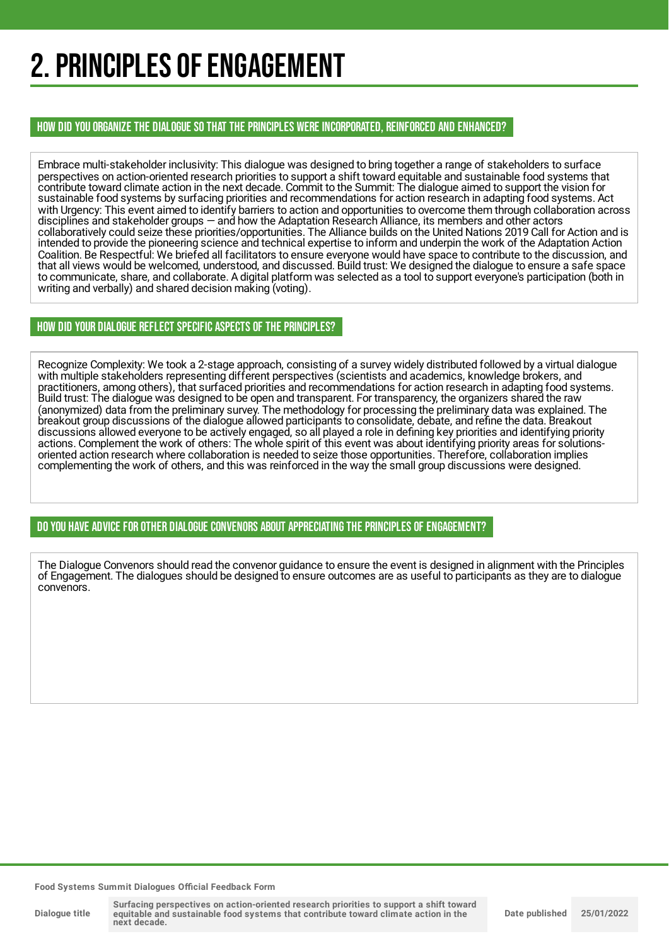## 2. PRINCIPLES OF ENGAGEMENT

HOW DID YOU ORGANIZE THE DIALOGUE SO THAT THE PRINCIPLES WERE INCORPORATED, REINFORCED AND ENHANCED?

Embrace multi-stakeholder inclusivity: This dialogue was designed to bring together a range of stakeholders to surface perspectives on action-oriented research priorities to support a shift toward equitable and sustainable food systems that contribute toward climate action in the next decade. Commit to the Summit: The dialogue aimed to support the vision for sustainable food systems by surfacing priorities and recommendations for action research in adapting food systems. Act with Urgency: This event aimed to identify barriers to action and opportunities to overcome them through collaboration across disciplines and stakeholder groups — and how the Adaptation Research Alliance, its members and other actors collaboratively could seize these priorities/opportunities. The Alliance builds on the United Nations 2019 Call for Action and is intended to provide the pioneering science and technical expertise to inform and underpin the work of the Adaptation Action Coalition. Be Respectful: We briefed all facilitators to ensure everyone would have space to contribute to the discussion, and that all views would be welcomed, understood, and discussed. Build trust: We designed the dialogue to ensure a safe space to communicate, share, and collaborate. A digital platform was selected as a tool to support everyone's participation (both in writing and verbally) and shared decision making (voting).

### HOW DID YOUR DIALOGUE REFLECT SPECIFIC ASPECTS OF THE PRINCIPLES?

Recognize Complexity: We took a 2-stage approach, consisting of a survey widely distributed followed by a virtual dialogue with multiple stakeholders representing different perspectives (scientists and academics, knowledge brokers, and practitioners, among others), that surfaced priorities and recommendations for action research in adapting food systems. Build trust: The dialogue was designed to be open and transparent. For transparency, the organizers shared the raw (anonymized) data from the preliminary survey. The methodology for processing the preliminary data was explained. The breakout group discussions of the dialogue allowed participants to consolidate, debate, and refine the data. Breakout discussions allowed everyone to be actively engaged, so all played a role in defining key priorities and identifying priority actions. Complement the work of others: The whole spirit of this event was about identifying priority areas for solutionsoriented action research where collaboration is needed to seize those opportunities. Therefore, collaboration implies complementing the work of others, and this was reinforced in the way the small group discussions were designed.

DO YOU HAVE ADVICE FOR OTHER DIALOGUE CONVENORS ABOUT APPRECIATINGTHE PRINCIPLES OF ENGAGEMENT?

The Dialogue Convenors should read the convenor guidance to ensure the event is designed in alignment with the Principles of Engagement. The dialogues should be designed to ensure outcomes are as useful to participants as they are to dialogue convenors.

**Food Systems Summit Dialogues Official Feedback Form**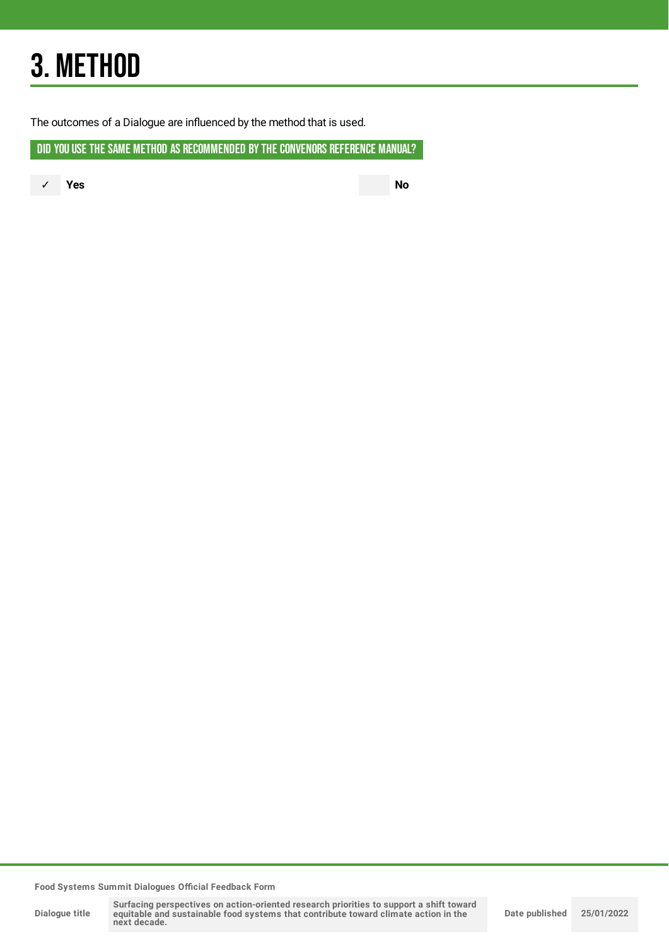## 3. METHOD

The outcomes of a Dialogue are influenced by the method that is used.

DID YOU USE THE SAME METHOD AS RECOMMENDED BYTHE CONVENORS REFERENCE MANUAL?

✓ **Yes No**

**Food Systems Summit Dialogues Official Feedback Form**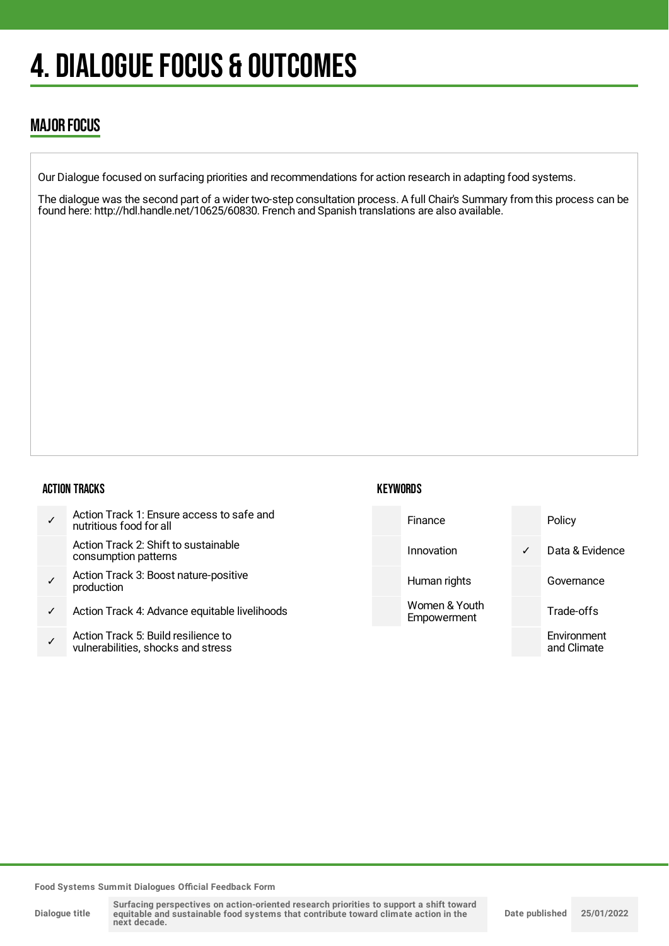## **4. DIALOGUE FOCUS & OUTCOMES**

## MAJOR FOCUS

Our Dialogue focused on surfacing priorities and recommendations for action research in adapting food systems.

The dialogue was the second part of a wider two-step consultation process. A full Chair's Summary from this process can be found here: http://hdl.handle.net/10625/60830. French and Spanish translations are also available.

#### ACTION TRACKS

| $\checkmark$ | Action Track 1: Ensure access to safe and<br>nutritious food for all |
|--------------|----------------------------------------------------------------------|
|              | Action Track 2: Shift to sustainable<br>consumption patterns         |
| $\checkmark$ | Action Track 3: Boost nature-positive<br>production                  |

- ✓ Action Track 4: Advance equitable livelihoods
- ✓ Action Track 5: Build resilience to vulnerabilities, shocks and stress

## **KEYWORDS**



**Food Systems Summit Dialogues Official Feedback Form**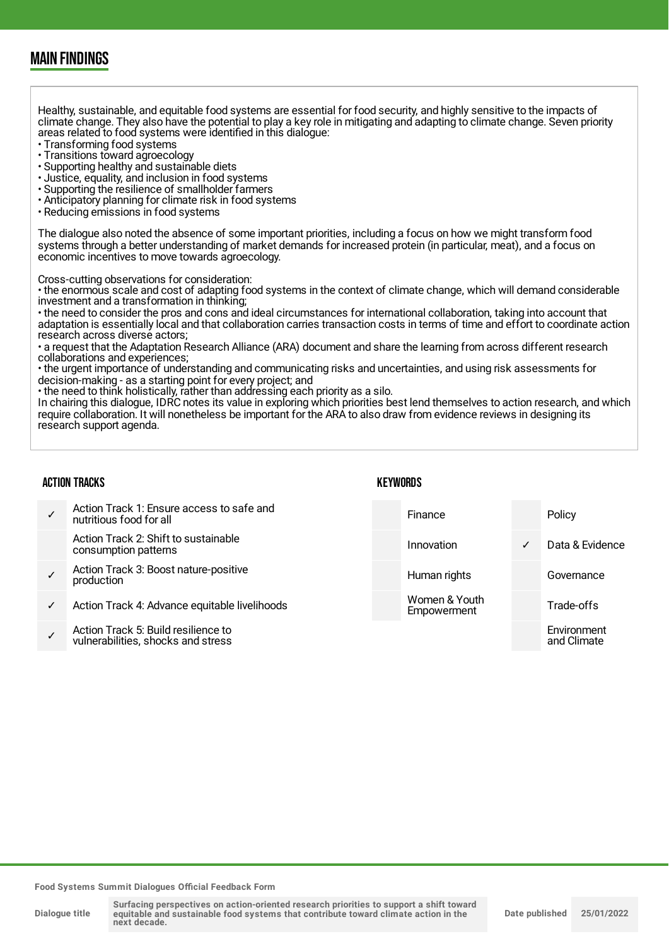## MAIN FINDINGS

Healthy, sustainable, and equitable food systems are essential for food security, and highly sensitive to the impacts of climate change. They also have the potential to play a key role in mitigating and adapting to climate change. Seven priority areas related to food systems were identified in this dialogue:

- Transforming food systems
- Transitions toward agroecology
- Supporting healthy and sustainable diets
- Justice, equality, and inclusion in food systems
- Supporting the resilience of smallholder farmers
- Anticipatory planning for climate risk in food systems
- Reducing emissions in food systems

The dialogue also noted the absence of some important priorities, including a focus on how we might transform food systems through a better understanding of market demands for increased protein (in particular, meat), and a focus on economic incentives to move towards agroecology.

Cross-cutting observations for consideration:

• the enormous scale and cost of adapting food systems in the context of climate change, which will demand considerable investment and a transformation in thinking;

• the need to consider the pros and cons and ideal circumstances for international collaboration, taking into account that adaptation is essentially local and that collaboration carries transaction costs in terms of time and effort to coordinate action research across diverse actors;

• a request that the Adaptation Research Alliance (ARA) document and share the learning from across different research collaborations and experiences;

• the urgent importance of understanding and communicating risks and uncertainties, and using risk assessments for decision-making - as a starting point for every project; and

• the need to think holistically, rather than addressing each priority as a silo.

In chairing this dialogue, IDRC notes its value in exploring which priorities best lend themselves to action research, and which require collaboration. It will nonetheless be important for the ARA to also draw from evidence reviews in designing its research support agenda.

#### ACTION TRACKS

#### **KEYWORDS**

|   | Action Track 1: Ensure access to safe and<br>nutritious food for all      | Finance                      |              | Policy                     |
|---|---------------------------------------------------------------------------|------------------------------|--------------|----------------------------|
|   | Action Track 2: Shift to sustainable<br>consumption patterns              | Innovation                   | $\checkmark$ | Data & Evidence            |
|   | Action Track 3: Boost nature-positive<br>production                       | Human rights                 |              | Governance                 |
| ✓ | Action Track 4: Advance equitable livelihoods                             | Women & Youth<br>Empowerment |              | Trade-offs                 |
|   | Action Track 5: Build resilience to<br>vulnerabilities, shocks and stress |                              |              | Environment<br>and Climate |

**Food Systems Summit Dialogues Official Feedback Form**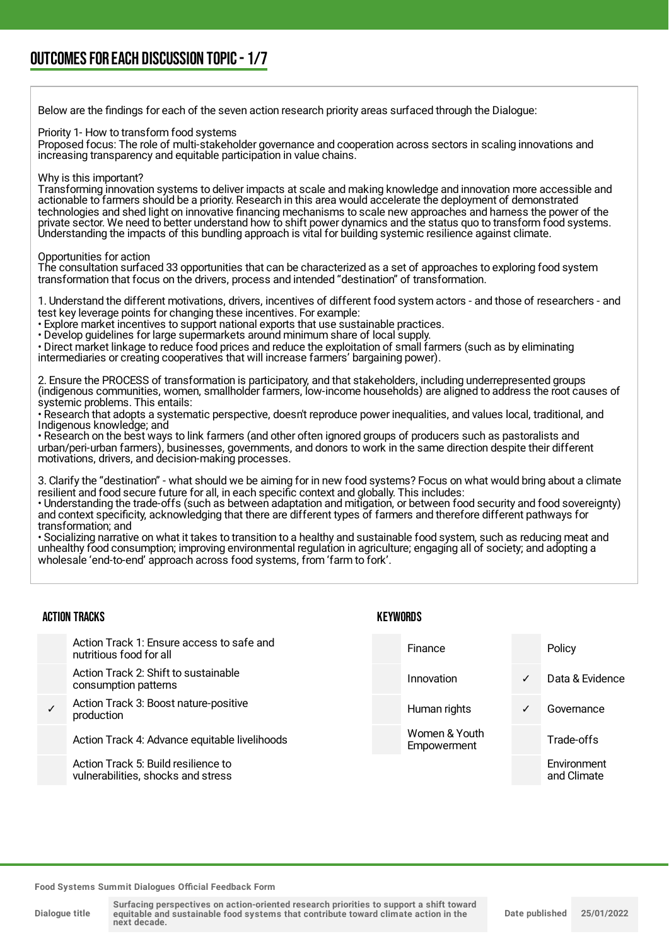Below are the findings for each of the seven action research priority areas surfaced through the Dialogue:

Priority 1- How to transform food systems

Proposed focus: The role of multi-stakeholder governance and cooperation across sectors in scaling innovations and increasing transparency and equitable participation in value chains.

#### Why is this important?

Transforming innovation systems to deliver impacts at scale and making knowledge and innovation more accessible and actionable to farmers should be a priority. Research in this area would accelerate the deployment of demonstrated technologies and shed light on innovative financing mechanisms to scale new approaches and harness the power of the private sector. We need to better understand how to shift power dynamics and the status quo to transform food systems. Understanding the impacts of this bundling approach is vital for building systemic resilience against climate.

Opportunities for action

The consultation surfaced 33 opportunities that can be characterized as a set of approaches to exploring food system transformation that focus on the drivers, process and intended "destination" of transformation.

1. Understand the different motivations, drivers, incentives of different food system actors - and those of researchers - and test key leverage points for changing these incentives. For example:

• Explore market incentives to support national exports that use sustainable practices.

• Develop guidelines for large supermarkets around minimum share of local supply.

• Direct market linkage to reduce food prices and reduce the exploitation of small farmers (such as by eliminating intermediaries or creating cooperatives that will increase farmers' bargaining power).

2. Ensure the PROCESS of transformation is participatory, and that stakeholders, including underrepresented groups (indigenous communities, women, smallholder farmers, low-income households) are aligned to address the root causes of systemic problems. This entails:

• Research that adopts a systematic perspective, doesn't reproduce power inequalities, and values local, traditional, and Indigenous knowledge; and

• Research on the best ways to link farmers (and other often ignored groups of producers such as pastoralists and urban/peri-urban farmers), businesses, governments, and donors to work in the same direction despite their different motivations, drivers, and decision-making processes.

3. Clarify the "destination" - what should we be aiming for in new food systems? Focus on what would bring about a climate resilient and food secure future for all, in each specific context and globally. This includes:

• Understanding the trade-offs (such as between adaptation and mitigation, or between food security and food sovereignty) and context specificity, acknowledging that there are different types of farmers and therefore different pathways for transformation; and

• Socializing narrative on what it takes to transition to a healthy and sustainable food system, such as reducing meat and unhealthy food consumption; improving environmental regulation in agriculture; engaging all of society; and adopting a wholesale 'end-to-end' approach across food systems, from 'farm to fork'.

| <b>ACTION TRACKS</b> |                                                                           |  | KEYWORDS                     |   |                            |  |
|----------------------|---------------------------------------------------------------------------|--|------------------------------|---|----------------------------|--|
|                      | Action Track 1: Ensure access to safe and<br>nutritious food for all      |  | Finance                      |   | Policy                     |  |
|                      | Action Track 2: Shift to sustainable<br>consumption patterns              |  | Innovation                   | ✓ | Data & Evidence            |  |
|                      | Action Track 3: Boost nature-positive<br>production                       |  | Human rights                 | ✓ | Governance                 |  |
|                      | Action Track 4: Advance equitable livelihoods                             |  | Women & Youth<br>Empowerment |   | Trade-offs                 |  |
|                      | Action Track 5: Build resilience to<br>vulnerabilities, shocks and stress |  |                              |   | Environment<br>and Climate |  |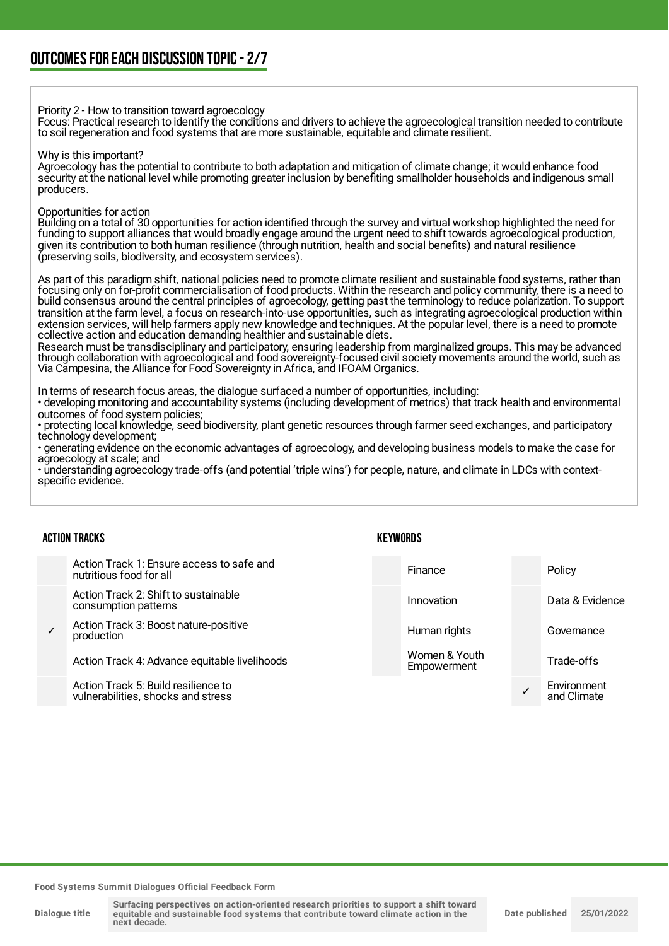Priority 2 - How to transition toward agroecology

Focus: Practical research to identify the conditions and drivers to achieve the agroecological transition needed to contribute to soil regeneration and food systems that are more sustainable, equitable and climate resilient.

#### Why is this important?

Agroecology has the potential to contribute to both adaptation and mitigation of climate change; it would enhance food security at the national level while promoting greater inclusion by benefiting smallholder households and indigenous small producers.

#### Opportunities for action

Building on a total of 30 opportunities for action identified through the survey and virtual workshop highlighted the need for funding to support alliances that would broadly engage around the urgent need to shift towards agroecological production, given its contribution to both human resilience (through nutrition, health and social benefits) and natural resilience (preserving soils, biodiversity, and ecosystem services).

As part of this paradigm shift, national policies need to promote climate resilient and sustainable food systems, rather than focusing only on for-profit commercialisation of food products. Within the research and policy community, there is a need to build consensus around the central principles of agroecology, getting past the terminology to reduce polarization. To support transition at the farm level, a focus on research-into-use opportunities, such as integrating agroecological production within extension services, will help farmers apply new knowledge and techniques. At the popular level, there is a need to promote collective action and education demanding healthier and sustainable diets.

Research must be transdisciplinary and participatory, ensuring leadership from marginalized groups. This may be advanced through collaboration with agroecological and food sovereignty-focused civil society movements around the world, such as Via Campesina, the Alliance for Food Sovereignty in Africa, and IFOAM Organics.

In terms of research focus areas, the dialogue surfaced a number of opportunities, including:

• developing monitoring and accountability systems (including development of metrics) that track health and environmental outcomes of food system policies;

• protecting local knowledge, seed biodiversity, plant genetic resources through farmer seed exchanges, and participatory technology development;

• generating evidence on the economic advantages of agroecology, and developing business models to make the case for agroecology at scale; and

• understanding agroecology trade-offs (and potential 'triple wins') for people, nature, and climate in LDCs with contextspecific evidence.

#### ACTION TRACKS

Action Track 1: Ensure access to safe and nutritious food for all

Action Track 2: Shift to sustainable consumption patterns

✓ Action Track 3: Boost nature-positive production

Action Track 4: Advance equitable livelihoods

Action Track 5: Build resilience to vulnerabilities, shocks and stress **KEYWORDS** 

Finance Policy Innovation **Data & Evidence** 

✓

Women & Youth Empowerment

Human rights **Governance** Trade-offs **Environment** 

and Climate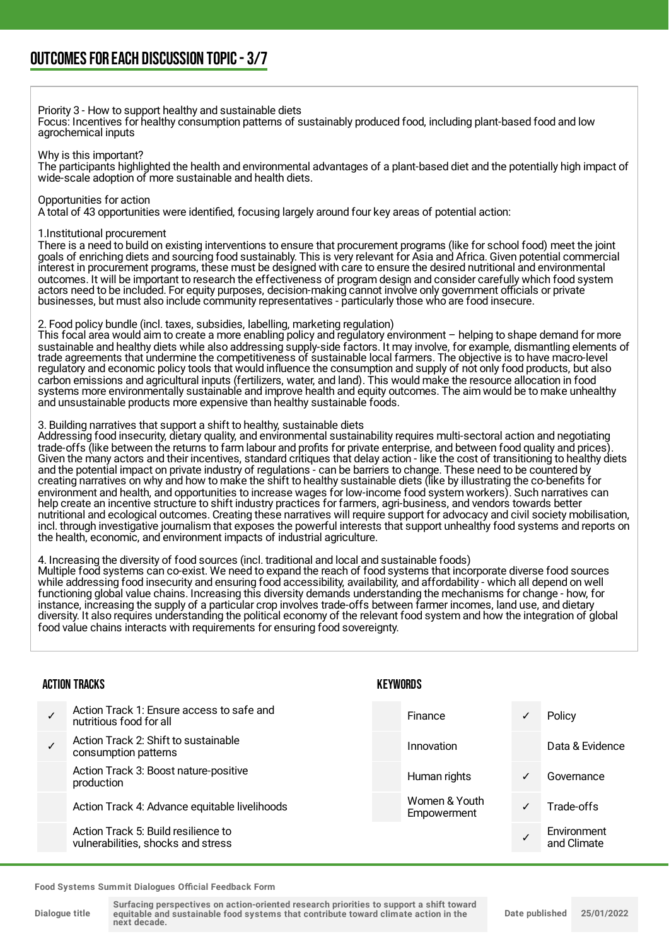#### Priority 3 - How to support healthy and sustainable diets

Focus: Incentives for healthy consumption patterns of sustainably produced food, including plant-based food and low agrochemical inputs

Why is this important?

The participants highlighted the health and environmental advantages of a plant-based diet and the potentially high impact of wide-scale adoption of more sustainable and health diets.

#### Opportunities for action

A total of 43 opportunities were identified, focusing largely around four key areas of potential action:

#### 1.Institutional procurement

There is a need to build on existing interventions to ensure that procurement programs (like for school food) meet the joint goals of enriching diets and sourcing food sustainably. This is very relevant for Asia and Africa. Given potential commercial interest in procurement programs, these must be designed with care to ensure the desired nutritional and environmental outcomes. It will be important to research the effectiveness of program design and consider carefully which food system actors need to be included. For equity purposes, decision-making cannot involve only government officials or private businesses, but must also include community representatives - particularly those who are food insecure.

#### 2. Food policy bundle (incl. taxes, subsidies, labelling, marketing regulation)

This focal area would aim to create a more enabling policy and regulatory environment – helping to shape demand for more sustainable and healthy diets while also addressing supply-side factors. It may involve, for example, dismantling elements of trade agreements that undermine the competitiveness of sustainable local farmers. The objective is to have macro-level regulatory and economic policy tools that would influence the consumption and supply of not only food products, but also carbon emissions and agricultural inputs (fertilizers, water, and land). This would make the resource allocation in food systems more environmentally sustainable and improve health and equity outcomes. The aim would be to make unhealthy and unsustainable products more expensive than healthy sustainable foods.

#### 3. Building narratives that support a shift to healthy, sustainable diets

Addressing food insecurity, dietary quality, and environmental sustainability requires multi-sectoral action and negotiating trade-offs (like between the returns to farm labour and profits for private enterprise, and between food quality and prices). Given the many actors and their incentives, standard critiques that delay action - like the cost of transitioning to healthy diets and the potential impact on private industry of regulations - can be barriers to change. These need to be countered by creating narratives on why and how to make the shift to healthy sustainable diets (like by illustrating the co-benefits for environment and health, and opportunities to increase wages for low-income food system workers). Such narratives can help create an incentive structure to shift industry practices for farmers, agri-business, and vendors towards better nutritional and ecological outcomes. Creating these narratives will require support for advocacy and civil society mobilisation, incl. through investigative journalism that exposes the powerful interests that support unhealthy food systems and reports on the health, economic, and environment impacts of industrial agriculture.

#### 4. Increasing the diversity of food sources (incl. traditional and local and sustainable foods)

Multiple food systems can co-exist. We need to expand the reach of food systems that incorporate diverse food sources while addressing food insecurity and ensuring food accessibility, availability, and affordability - which all depend on well functioning global value chains. Increasing this diversity demands understanding the mechanisms for change - how, for instance, increasing the supply of a particular crop involves trade-offs between farmer incomes, land use, and dietary diversity. It also requires understanding the political economy of the relevant food system and how the integration of global food value chains interacts with requirements for ensuring food sovereignty.

### **CALICAL TRACKS**

| ACTION TRACKS<br><b>KEYWORDS</b>                                          |  |                              |   |                            |
|---------------------------------------------------------------------------|--|------------------------------|---|----------------------------|
| Action Track 1: Ensure access to safe and<br>nutritious food for all      |  | Finance                      | ✓ | Policy                     |
| Action Track 2: Shift to sustainable<br>consumption patterns              |  | Innovation                   |   | Data & Evidence            |
| Action Track 3: Boost nature-positive<br>production                       |  | Human rights                 | ✓ | Governance                 |
| Action Track 4: Advance equitable livelihoods                             |  | Women & Youth<br>Empowerment | ✓ | Trade-offs                 |
| Action Track 5: Build resilience to<br>vulnerabilities, shocks and stress |  |                              |   | Environment<br>and Climate |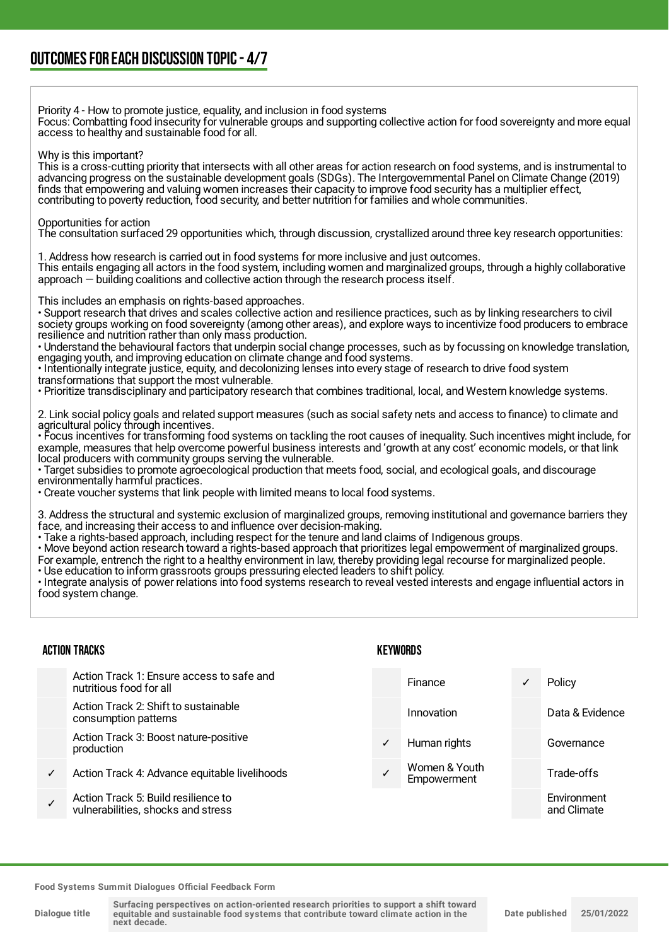Priority 4 - How to promote justice, equality, and inclusion in food systems Focus: Combatting food insecurity for vulnerable groups and supporting collective action for food sovereignty and more equal access to healthy and sustainable food for all. Why is this important? This is a cross-cutting priority that intersects with all other areas for action research on food systems, and is instrumental to advancing progress on the sustainable development goals (SDGs). The Intergovernmental Panel on Climate Change (2019) finds that empowering and valuing women increases their capacity to improve food security has a multiplier effect, contributing to poverty reduction, food security, and better nutrition for families and whole communities. Opportunities for action The consultation surfaced 29 opportunities which, through discussion, crystallized around three key research opportunities: 1. Address how research is carried out in food systems for more inclusive and just outcomes. This entails engaging all actors in the food system, including women and marginalized groups, through a highly collaborative approach — building coalitions and collective action through the research process itself. This includes an emphasis on rights-based approaches. • Support research that drives and scales collective action and resilience practices, such as by linking researchers to civil society groups working on food sovereignty (among other areas), and explore ways to incentivize food producers to embrace resilience and nutrition rather than only mass production. • Understand the behavioural factors that underpin social change processes, such as by focussing on knowledge translation, engaging youth, and improving education on climate change and food systems. • Intentionally integrate justice, equity, and decolonizing lenses into every stage of research to drive food system transformations that support the most vulnerable. • Prioritize transdisciplinary and participatory research that combines traditional, local, and Western knowledge systems. 2. Link social policy goals and related support measures (such as social safety nets and access to finance) to climate and agricultural policy through incentives. • Focus incentives for transforming food systems on tackling the root causes of inequality. Such incentives might include, for example, measures that help overcome powerful business interests and 'growth at any cost' economic models, or that link local producers with community groups serving the vulnerable. • Target subsidies to promote agroecological production that meets food, social, and ecological goals, and discourage environmentally harmful practices. • Create voucher systems that link people with limited means to local food systems. 3. Address the structural and systemic exclusion of marginalized groups, removing institutional and governance barriers they face, and increasing their access to and influence over decision-making. • Take a rights-based approach, including respect for the tenure and land claims of Indigenous groups. • Move beyond action research toward a rights-based approach that prioritizes legal empowerment of marginalized groups. For example, entrench the right to a healthy environment in law, thereby providing legal recourse for marginalized people. • Use education to inform grassroots groups pressuring elected leaders to shift policy. • Integrate analysis of power relations into food systems research to reveal vested interests and engage influential actors in food system change. ACTION TRACKS Action Track 1: Ensure access to safe and nutritious food for all Action Track 2: Shift to sustainable consumption patterns **KEYWORDS** Finance ✓ Policy Innovation Data & Evidence

Action Track 3: Boost nature-positive production

- Action Track 4: Advance equitable livelihoods
- ✓ Action Track 5: Build resilience to vulnerabilities, shocks and stress

|              | Finance                      | ✓ | Policy                     |
|--------------|------------------------------|---|----------------------------|
|              | Innovation                   |   | Data & Evidence            |
| $\checkmark$ | Human rights                 |   | Governance                 |
|              | Women & Youth<br>Empowerment |   | Trade-offs                 |
|              |                              |   | Environment<br>and Climate |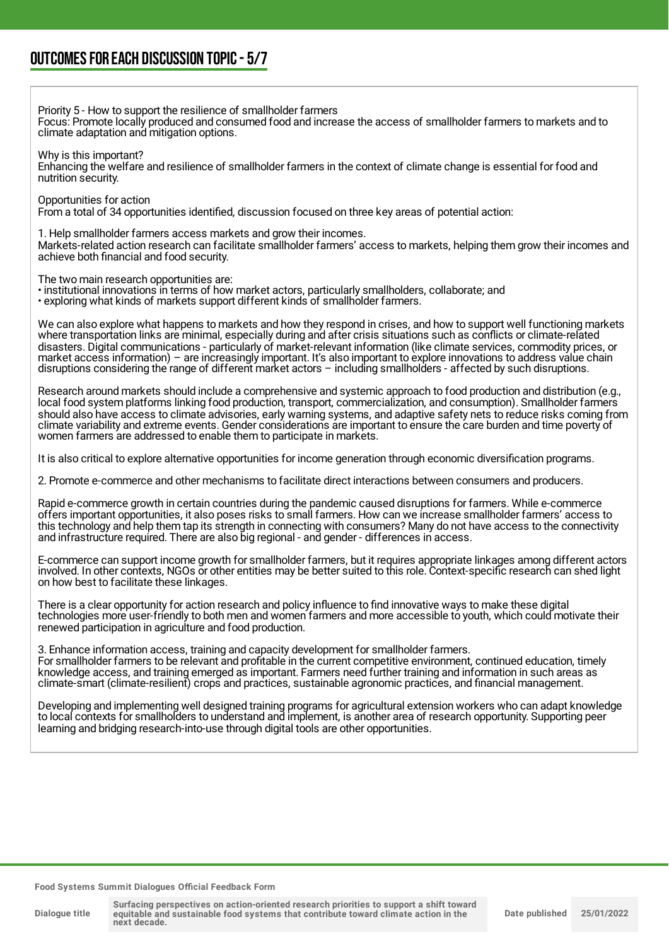Priority 5 - How to support the resilience of smallholder farmers

Focus: Promote locally produced and consumed food and increase the access of smallholder farmers to markets and to climate adaptation and mitigation options.

Why is this important?

Enhancing the welfare and resilience of smallholder farmers in the context of climate change is essential for food and nutrition security.

Opportunities for action

From a total of 34 opportunities identified, discussion focused on three key areas of potential action:

1. Help smallholder farmers access markets and grow their incomes.

Markets-related action research can facilitate smallholder farmers' access to markets, helping them grow their incomes and achieve both financial and food security.

The two main research opportunities are:

- institutional innovations in terms of how market actors, particularly smallholders, collaborate; and
- exploring what kinds of markets support different kinds of smallholder farmers.

We can also explore what happens to markets and how they respond in crises, and how to support well functioning markets where transportation links are minimal, especially during and after crisis situations such as conflicts or climate-related disasters. Digital communications - particularly of market-relevant information (like climate services, commodity prices, or market access information) – are increasingly important. It's also important to explore innovations to address value chain disruptions considering the range of different market actors – including smallholders - affected by such disruptions.

Research around markets should include a comprehensive and systemic approach to food production and distribution (e.g., local food system platforms linking food production, transport, commercialization, and consumption). Smallholder farmers should also have access to climate advisories, early warning systems, and adaptive safety nets to reduce risks coming from climate variability and extreme events. Gender considerations are important to ensure the care burden and time poverty of women farmers are addressed to enable them to participate in markets.

It is also critical to explore alternative opportunities for income generation through economic diversification programs.

2. Promote e-commerce and other mechanisms to facilitate direct interactions between consumers and producers.

Rapid e-commerce growth in certain countries during the pandemic caused disruptions for farmers. While e-commerce offers important opportunities, it also poses risks to small farmers. How can we increase smallholder farmers' access to this technology and help them tap its strength in connecting with consumers? Many do not have access to the connectivity and infrastructure required. There are also big regional - and gender - differences in access.

E-commerce can support income growth for smallholder farmers, but it requires appropriate linkages among different actors involved. In other contexts, NGOs or other entities may be better suited to this role. Context-specific research can shed light on how best to facilitate these linkages.

There is a clear opportunity for action research and policy influence to find innovative ways to make these digital technologies more user-friendly to both men and women farmers and more accessible to youth, which could motivate their renewed participation in agriculture and food production.

3. Enhance information access, training and capacity development for smallholder farmers. For smallholder farmers to be relevant and profitable in the current competitive environment, continued education, timely knowledge access, and training emerged as important. Farmers need further training and information in such areas as climate-smart (climate-resilient) crops and practices, sustainable agronomic practices, and financial management.

Developing and implementing well designed training programs for agricultural extension workers who can adapt knowledge to local contexts for smallholders to understand and implement, is another area of research opportunity. Supporting peer learning and bridging research-into-use through digital tools are other opportunities.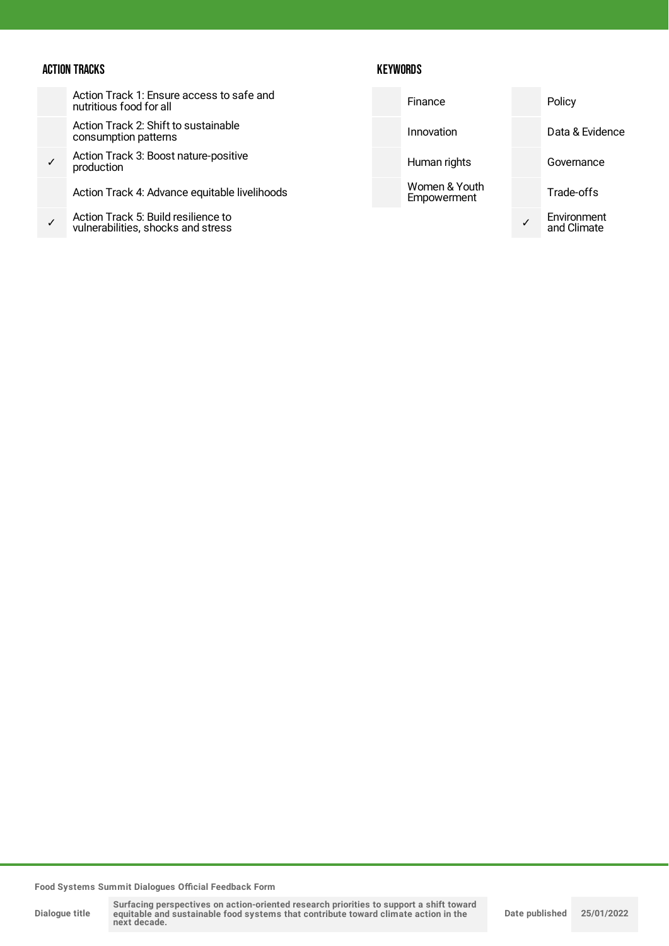## ACTION TRACKS

## **KEYWORDS**

|   | Action Track 1: Ensure access to safe and<br>nutritious food for all      | Finance                      | Policy                     |
|---|---------------------------------------------------------------------------|------------------------------|----------------------------|
|   | Action Track 2: Shift to sustainable<br>consumption patterns              | Innovation                   | Data & Evidence            |
|   | Action Track 3: Boost nature-positive<br>production                       | Human rights                 | Governance                 |
|   | Action Track 4: Advance equitable livelihoods                             | Women & Youth<br>Empowerment | Trade-offs                 |
| ✓ | Action Track 5: Build resilience to<br>vulnerabilities, shocks and stress |                              | Environment<br>and Climate |
|   |                                                                           |                              |                            |

**Food Systems Summit Dialogues Official Feedback Form**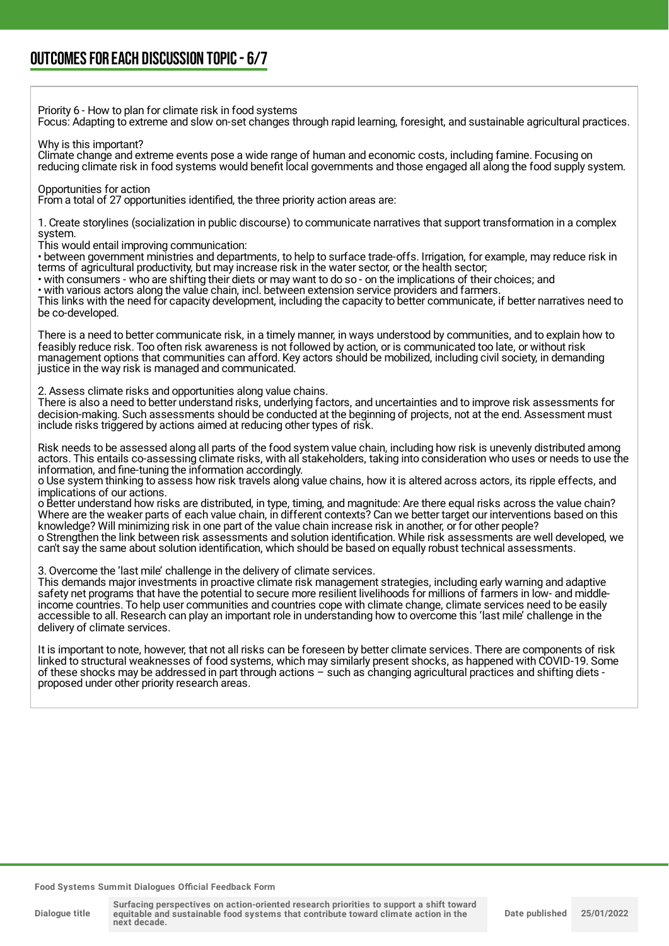Priority 6 - How to plan for climate risk in food systems

Focus: Adapting to extreme and slow on-set changes through rapid learning, foresight, and sustainable agricultural practices.

Why is this important?

Climate change and extreme events pose a wide range of human and economic costs, including famine. Focusing on reducing climate risk in food systems would benefit local governments and those engaged all along the food supply system.

Opportunities for action

From a total of 27 opportunities identified, the three priority action areas are:

1. Create storylines (socialization in public discourse) to communicate narratives that support transformation in a complex system.

This would entail improving communication:

• between government ministries and departments, to help to surface trade-offs. Irrigation, for example, may reduce risk in terms of agricultural productivity, but may increase risk in the water sector, or the health sector;

• with consumers - who are shifting their diets or may want to do so - on the implications of their choices; and

• with various actors along the value chain, incl. between extension service providers and farmers. This links with the need for capacity development, including the capacity to better communicate, if better narratives need to be co-developed.

There is a need to better communicate risk, in a timely manner, in ways understood by communities, and to explain how to feasibly reduce risk. Too often risk awareness is not followed by action, or is communicated too late, or without risk management options that communities can afford. Key actors should be mobilized, including civil society, in demanding justice in the way risk is managed and communicated.

2. Assess climate risks and opportunities along value chains.

There is also a need to better understand risks, underlying factors, and uncertainties and to improve risk assessments for decision-making. Such assessments should be conducted at the beginning of projects, not at the end. Assessment must include risks triggered by actions aimed at reducing other types of risk.

Risk needs to be assessed along all parts of the food system value chain, including how risk is unevenly distributed among actors. This entails co-assessing climate risks, with all stakeholders, taking into consideration who uses or needs to use the information, and fine-tuning the information accordingly.

o Use system thinking to assess how risk travels along value chains, how it is altered across actors, its ripple effects, and implications of our actions.

o Better understand how risks are distributed, in type, timing, and magnitude: Are there equal risks across the value chain? Where are the weaker parts of each value chain, in different contexts? Can we better target our interventions based on this knowledge? Will minimizing risk in one part of the value chain increase risk in another, or for other people? o Strengthen the link between risk assessments and solution identification. While risk assessments are well developed, we can't say the same about solution identification, which should be based on equally robust technical assessments.

3. Overcome the 'last mile' challenge in the delivery of climate services.

This demands major investments in proactive climate risk management strategies, including early warning and adaptive safety net programs that have the potential to secure more resilient livelihoods for millions of farmers in low- and middleincome countries. To help user communities and countries cope with climate change, climate services need to be easily accessible to all. Research can play an important role in understanding how to overcome this 'last mile' challenge in the delivery of climate services.

It is important to note, however, that not all risks can be foreseen by better climate services. There are components of risk linked to structural weaknesses of food systems, which may similarly present shocks, as happened with COVID-19. Some of these shocks may be addressed in part through actions – such as changing agricultural practices and shifting diets proposed under other priority research areas.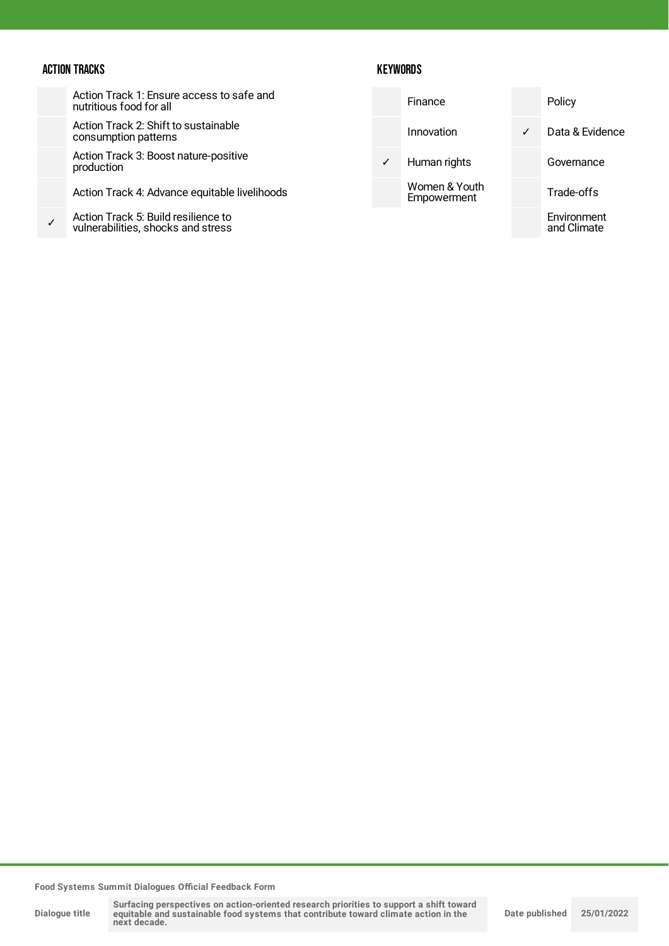### ACTION TRACKS

## **KEYWORDS**

| Action Track 1: Ensure access to safe and<br>nutritious food for all |
|----------------------------------------------------------------------|
| Action Track 2: Shift to sustainable<br>consumption patterns         |

Action Track 3: Boost nature-positive production

Action Track 4: Advance equitable livelihoods

✓ Action Track 5: Build resilience to vulnerabilities, shocks and stress

|              | Finance                      |   | Policy                     |
|--------------|------------------------------|---|----------------------------|
|              | Innovation                   | ✓ | Data & Evidence            |
| $\checkmark$ | Human rights                 |   | Governance                 |
|              | Women & Youth<br>Empowerment |   | Trade-offs                 |
|              |                              |   | Environment<br>and Climate |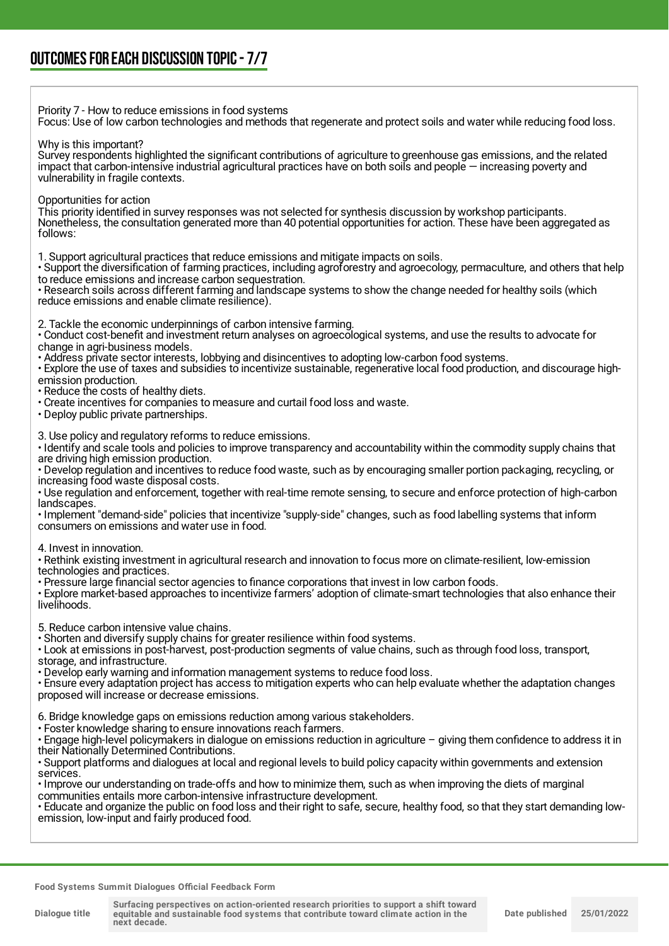Priority 7 - How to reduce emissions in food systems Focus: Use of low carbon technologies and methods that regenerate and protect soils and water while reducing food loss.

Why is this important?

Survey respondents highlighted the significant contributions of agriculture to greenhouse gas emissions, and the related impact that carbon-intensive industrial agricultural practices have on both soils and people — increasing poverty and vulnerability in fragile contexts.

Opportunities for action

This priority identified in survey responses was not selected for synthesis discussion by workshop participants. Nonetheless, the consultation generated more than 40 potential opportunities for action. These have been aggregated as follows:

1. Support agricultural practices that reduce emissions and mitigate impacts on soils.

• Support the diversification of farming practices, including agroforestry and agroecology, permaculture, and others that help to reduce emissions and increase carbon sequestration.

• Research soils across different farming and landscape systems to show the change needed for healthy soils (which reduce emissions and enable climate resilience).

2. Tackle the economic underpinnings of carbon intensive farming.

• Conduct cost-benefit and investment return analyses on agroecological systems, and use the results to advocate for change in agri-business models.

• Address private sector interests, lobbying and disincentives to adopting low-carbon food systems.

• Explore the use of taxes and subsidies to incentivize sustainable, regenerative local food production, and discourage highemission production.

• Reduce the costs of healthy diets.

• Create incentives for companies to measure and curtail food loss and waste.

• Deploy public private partnerships.

3. Use policy and regulatory reforms to reduce emissions.

• Identify and scale tools and policies to improve transparency and accountability within the commodity supply chains that are driving high emission production.

• Develop regulation and incentives to reduce food waste, such as by encouraging smaller portion packaging, recycling, or increasing food waste disposal costs.

• Use regulation and enforcement, together with real-time remote sensing, to secure and enforce protection of high-carbon landscapes.

• Implement "demand-side" policies that incentivize "supply-side" changes, such as food labelling systems that inform consumers on emissions and water use in food.

4. Invest in innovation.

• Rethink existing investment in agricultural research and innovation to focus more on climate-resilient, low-emission technologies and practices.

• Pressure large financial sector agencies to finance corporations that invest in low carbon foods.

• Explore market-based approaches to incentivize farmers' adoption of climate-smart technologies that also enhance their livelihoods.

5. Reduce carbon intensive value chains.

• Shorten and diversify supply chains for greater resilience within food systems.

• Look at emissions in post-harvest, post-production segments of value chains, such as through food loss, transport, storage, and infrastructure.

• Develop early warning and information management systems to reduce food loss.

• Ensure every adaptation project has access to mitigation experts who can help evaluate whether the adaptation changes proposed will increase or decrease emissions.

6. Bridge knowledge gaps on emissions reduction among various stakeholders.

• Foster knowledge sharing to ensure innovations reach farmers.

• Engage high-level policymakers in dialogue on emissions reduction in agriculture – giving them confidence to address it in their Nationally Determined Contributions.

• Support platforms and dialogues at local and regional levels to build policy capacity within governments and extension services.

• Improve our understanding on trade-offs and how to minimize them, such as when improving the diets of marginal communities entails more carbon-intensive infrastructure development.

• Educate and organize the public on food loss and their right to safe, secure, healthy food, so that they start demanding lowemission, low-input and fairly produced food.

**Food Systems Summit Dialogues Official Feedback Form**

**Dialogue title**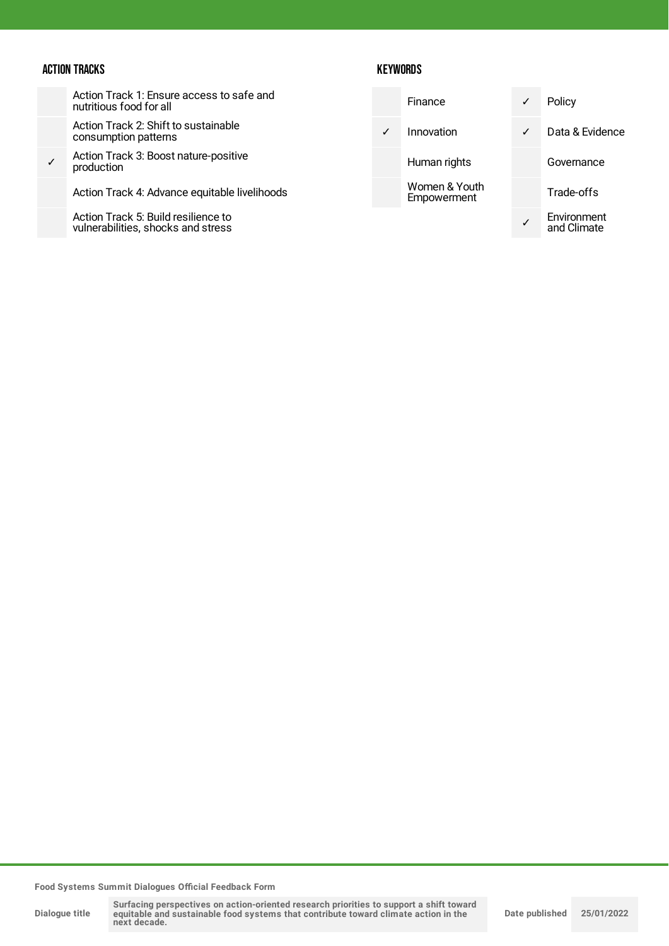### ACTION TRACKS

Action Track 1: Ensure access to safe and nutritious food for all

Action Track 2: Shift to sustainable consumption patterns

✓ Action Track 3: Boost nature-positive production

Action Track 4: Advance equitable livelihoods

Action Track 5: Build resilience to vulnerabilities, shocks and stress

#### **KEYWORDS**

|   | Finance                      | ✓ | Policy                     |
|---|------------------------------|---|----------------------------|
| ✓ | Innovation                   | ✓ | Data & Evidence            |
|   | Human rights                 |   | Governance                 |
|   | Women & Youth<br>Empowerment |   | Trade-offs                 |
|   |                              |   | Environment<br>and Climate |

**Food Systems Summit Dialogues Official Feedback Form**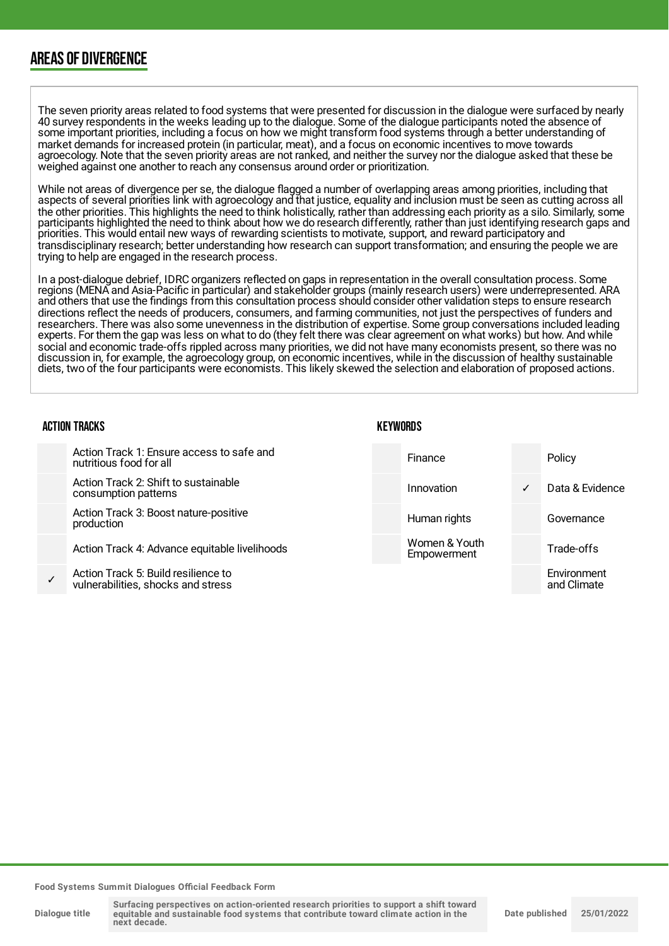## AREAS OF DIVERGENCE

The seven priority areas related to food systems that were presented for discussion in the dialogue were surfaced by nearly 40 survey respondents in the weeks leading up to the dialogue. Some of the dialogue participants noted the absence of some important priorities, including a focus on how we might transform food systems through a better understanding of market demands for increased protein (in particular, meat), and a focus on economic incentives to move towards agroecology. Note that the seven priority areas are not ranked, and neither the survey nor the dialogue asked that these be weighed against one another to reach any consensus around order or prioritization.

While not areas of divergence per se, the dialogue flagged a number of overlapping areas among priorities, including that aspects of several priorities link with agroecology and that justice, equality and inclusion must be seen as cutting across all the other priorities. This highlights the need to think holistically, rather than addressing each priority as a silo. Similarly, some participants highlighted the need to think about how we do research differently, rather than just identifying research gaps and priorities. This would entail new ways of rewarding scientists to motivate, support, and reward participatory and transdisciplinary research; better understanding how research can support transformation; and ensuring the people we are trying to help are engaged in the research process.

In a post-dialogue debrief, IDRC organizers reflected on gaps in representation in the overall consultation process. Some regions (MENA and Asia-Pacific in particular) and stakeholder groups (mainly research users) were underrepresented. ARA and others that use the findings from this consultation process should consider other validation steps to ensure research directions reflect the needs of producers, consumers, and farming communities, not just the perspectives of funders and researchers. There was also some unevenness in the distribution of expertise. Some group conversations included leading experts. For them the gap was less on what to do (they felt there was clear agreement on what works) but how. And while social and economic trade-offs rippled across many priorities, we did not have many economists present, so there was no discussion in, for example, the agroecology group, on economic incentives, while in the discussion of healthy sustainable diets, two of the four participants were economists. This likely skewed the selection and elaboration of proposed actions.

| <b>ACTION TRACKS</b> |                                                                           |  | KEYWORDS                     |   |                            |  |
|----------------------|---------------------------------------------------------------------------|--|------------------------------|---|----------------------------|--|
|                      | Action Track 1: Ensure access to safe and<br>nutritious food for all      |  | Finance                      |   | Policy                     |  |
|                      | Action Track 2: Shift to sustainable<br>consumption patterns              |  | Innovation                   | ✓ | Data & Evidence            |  |
|                      | Action Track 3: Boost nature-positive<br>production                       |  | Human rights                 |   | Governance                 |  |
|                      | Action Track 4: Advance equitable livelihoods                             |  | Women & Youth<br>Empowerment |   | Trade-offs                 |  |
|                      | Action Track 5: Build resilience to<br>vulnerabilities, shocks and stress |  |                              |   | Environment<br>and Climate |  |

**Food Systems Summit Dialogues Official Feedback Form**